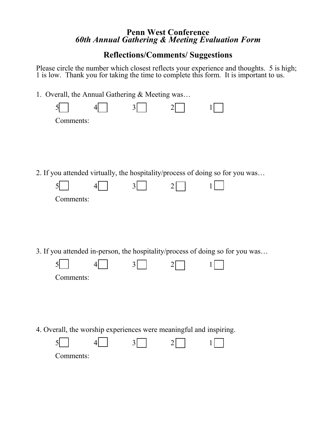## **Penn West Conference**  *60th Annual Gathering & Meeting Evaluation Form*

## **Reflections/Comments/ Suggestions**

Please circle the number which closest reflects your experience and thoughts. 5 is high; 1 is low. Thank you for taking the time to complete this form. It is important to us.

1. Overall, the Annual Gathering & Meeting was…

|                                                                               |           |  | 3              |                |                                                                               |  |  |  |
|-------------------------------------------------------------------------------|-----------|--|----------------|----------------|-------------------------------------------------------------------------------|--|--|--|
|                                                                               | Comments: |  |                |                |                                                                               |  |  |  |
|                                                                               |           |  |                |                |                                                                               |  |  |  |
|                                                                               |           |  |                |                |                                                                               |  |  |  |
|                                                                               |           |  |                |                |                                                                               |  |  |  |
|                                                                               |           |  |                |                | 2. If you attended virtually, the hospitality/process of doing so for you was |  |  |  |
|                                                                               | 5         |  | $\overline{3}$ | $\overline{2}$ |                                                                               |  |  |  |
|                                                                               | Comments: |  |                |                |                                                                               |  |  |  |
|                                                                               |           |  |                |                |                                                                               |  |  |  |
|                                                                               |           |  |                |                |                                                                               |  |  |  |
|                                                                               |           |  |                |                |                                                                               |  |  |  |
| 3. If you attended in-person, the hospitality/process of doing so for you was |           |  |                |                |                                                                               |  |  |  |
|                                                                               |           |  | 3              |                |                                                                               |  |  |  |
|                                                                               | Comments: |  |                |                |                                                                               |  |  |  |
|                                                                               |           |  |                |                |                                                                               |  |  |  |
|                                                                               |           |  |                |                |                                                                               |  |  |  |
|                                                                               |           |  |                |                |                                                                               |  |  |  |
| 4. Overall, the worship experiences were meaningful and inspiring.            |           |  |                |                |                                                                               |  |  |  |
|                                                                               |           |  | 3              |                |                                                                               |  |  |  |
|                                                                               | Comments: |  |                |                |                                                                               |  |  |  |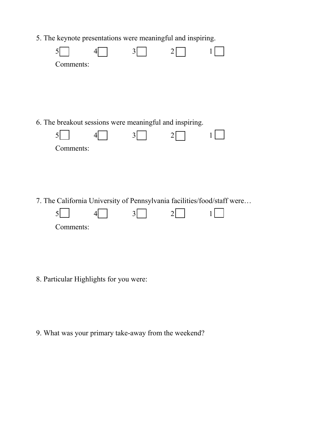5. The keynote presentations were meaningful and inspiring.

| Comments:                                                                                 |   |  |
|-------------------------------------------------------------------------------------------|---|--|
|                                                                                           |   |  |
| 6. The breakout sessions were meaningful and inspiring.<br>5<br>Comments:                 | 3 |  |
| 7. The California University of Pennsylvania facilities/food/staff were<br>5<br>Comments: | 3 |  |

8. Particular Highlights for you were:

9. What was your primary take-away from the weekend?